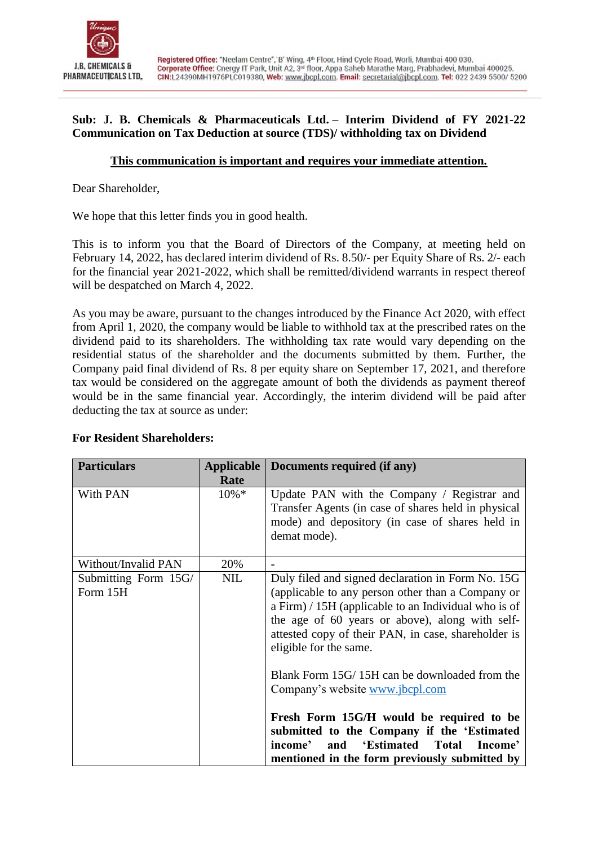

### **Sub: J. B. Chemicals & Pharmaceuticals Ltd. – Interim Dividend of FY 2021-22 Communication on Tax Deduction at source (TDS)/ withholding tax on Dividend**

# **This communication is important and requires your immediate attention.**

Dear Shareholder,

We hope that this letter finds you in good health.

This is to inform you that the Board of Directors of the Company, at meeting held on February 14, 2022, has declared interim dividend of Rs. 8.50/- per Equity Share of Rs. 2/- each for the financial year 2021-2022, which shall be remitted/dividend warrants in respect thereof will be despatched on March 4, 2022.

As you may be aware, pursuant to the changes introduced by the Finance Act 2020, with effect from April 1, 2020, the company would be liable to withhold tax at the prescribed rates on the dividend paid to its shareholders. The withholding tax rate would vary depending on the residential status of the shareholder and the documents submitted by them. Further, the Company paid final dividend of Rs. 8 per equity share on September 17, 2021, and therefore tax would be considered on the aggregate amount of both the dividends as payment thereof would be in the same financial year. Accordingly, the interim dividend will be paid after deducting the tax at source as under:

| <b>Particulars</b>               | <b>Applicable</b><br>Rate | Documents required (if any)                                                                                                                                                                                                                                                                        |
|----------------------------------|---------------------------|----------------------------------------------------------------------------------------------------------------------------------------------------------------------------------------------------------------------------------------------------------------------------------------------------|
| With PAN                         | $10\% *$                  | Update PAN with the Company / Registrar and<br>Transfer Agents (in case of shares held in physical<br>mode) and depository (in case of shares held in<br>demat mode).                                                                                                                              |
| Without/Invalid PAN              | 20%                       | $\overline{\phantom{0}}$                                                                                                                                                                                                                                                                           |
| Submitting Form 15G/<br>Form 15H | <b>NIL</b>                | Duly filed and signed declaration in Form No. 15G<br>(applicable to any person other than a Company or<br>a Firm) / 15H (applicable to an Individual who is of<br>the age of 60 years or above), along with self-<br>attested copy of their PAN, in case, shareholder is<br>eligible for the same. |
|                                  |                           | Blank Form 15G/15H can be downloaded from the<br>Company's website www.jbcpl.com<br>Fresh Form 15G/H would be required to be<br>submitted to the Company if the 'Estimated<br>'Estimated Total<br>income'<br>and<br>Income'<br>mentioned in the form previously submitted by                       |

#### **For Resident Shareholders:**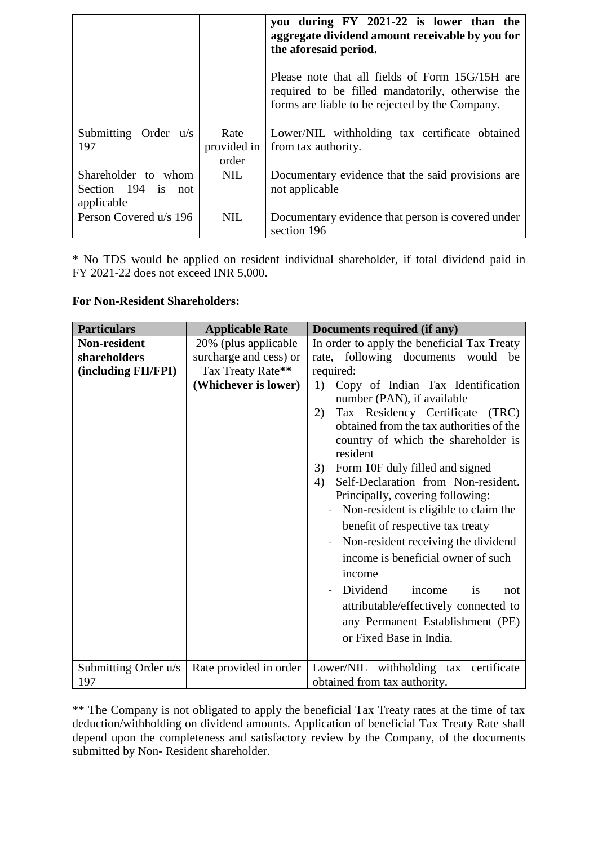|                                                         |                              | you during FY 2021-22 is lower than the<br>aggregate dividend amount receivable by you for<br>the aforesaid period.<br>Please note that all fields of Form 15G/15H are<br>required to be filled mandatorily, otherwise the<br>forms are liable to be rejected by the Company. |
|---------------------------------------------------------|------------------------------|-------------------------------------------------------------------------------------------------------------------------------------------------------------------------------------------------------------------------------------------------------------------------------|
| Submitting Order u/s<br>197                             | Rate<br>provided in<br>order | Lower/NIL withholding tax certificate obtained<br>from tax authority.                                                                                                                                                                                                         |
| Shareholder to whom<br>Section 194 is not<br>applicable | NIL.                         | Documentary evidence that the said provisions are<br>not applicable                                                                                                                                                                                                           |
| Person Covered u/s 196                                  | <b>NIL</b>                   | Documentary evidence that person is covered under<br>section 196                                                                                                                                                                                                              |

\* No TDS would be applied on resident individual shareholder, if total dividend paid in FY 2021-22 does not exceed INR 5,000.

### **For Non-Resident Shareholders:**

| <b>Particulars</b>                                         | <b>Applicable Rate</b>                                                                      | Documents required (if any)                                                                                                                                                                                                                                                                                                                                                                                                                                                                                                                                                                                                                                                                                                                                 |
|------------------------------------------------------------|---------------------------------------------------------------------------------------------|-------------------------------------------------------------------------------------------------------------------------------------------------------------------------------------------------------------------------------------------------------------------------------------------------------------------------------------------------------------------------------------------------------------------------------------------------------------------------------------------------------------------------------------------------------------------------------------------------------------------------------------------------------------------------------------------------------------------------------------------------------------|
| <b>Non-resident</b><br>shareholders<br>(including FII/FPI) | 20% (plus applicable<br>surcharge and cess) or<br>Tax Treaty Rate**<br>(Whichever is lower) | In order to apply the beneficial Tax Treaty<br>rate, following documents would be<br>required:<br>Copy of Indian Tax Identification<br>1)<br>number (PAN), if available<br>Tax Residency Certificate<br>2)<br>(TRC)<br>obtained from the tax authorities of the<br>country of which the shareholder is<br>resident<br>Form 10F duly filled and signed<br>3)<br>Self-Declaration from Non-resident.<br>4)<br>Principally, covering following:<br>Non-resident is eligible to claim the<br>benefit of respective tax treaty<br>Non-resident receiving the dividend<br>income is beneficial owner of such<br>income<br>Dividend<br>is<br>income<br>not<br>attributable/effectively connected to<br>any Permanent Establishment (PE)<br>or Fixed Base in India. |
| Submitting Order u/s<br>197                                | Rate provided in order                                                                      | Lower/NIL withholding tax<br>certificate<br>obtained from tax authority.                                                                                                                                                                                                                                                                                                                                                                                                                                                                                                                                                                                                                                                                                    |

\*\* The Company is not obligated to apply the beneficial Tax Treaty rates at the time of tax deduction/withholding on dividend amounts. Application of beneficial Tax Treaty Rate shall depend upon the completeness and satisfactory review by the Company, of the documents submitted by Non- Resident shareholder.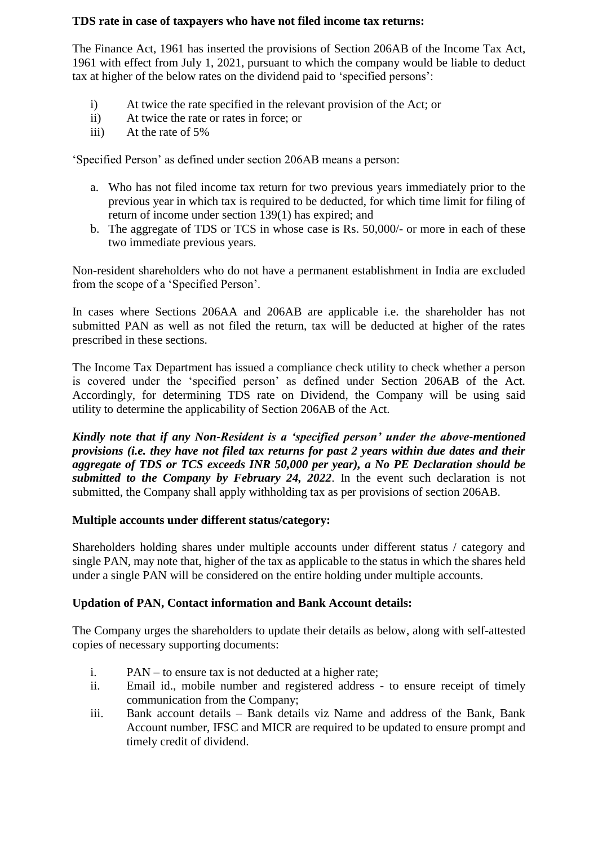### **TDS rate in case of taxpayers who have not filed income tax returns:**

The Finance Act, 1961 has inserted the provisions of Section 206AB of the Income Tax Act, 1961 with effect from July 1, 2021, pursuant to which the company would be liable to deduct tax at higher of the below rates on the dividend paid to 'specified persons':

- i) At twice the rate specified in the relevant provision of the Act; or
- ii) At twice the rate or rates in force; or
- iii) At the rate of 5%

'Specified Person' as defined under section 206AB means a person:

- a. Who has not filed income tax return for two previous years immediately prior to the previous year in which tax is required to be deducted, for which time limit for filing of return of income under section 139(1) has expired; and
- b. The aggregate of TDS or TCS in whose case is Rs. 50,000/- or more in each of these two immediate previous years.

Non-resident shareholders who do not have a permanent establishment in India are excluded from the scope of a 'Specified Person'.

In cases where Sections 206AA and 206AB are applicable i.e. the shareholder has not submitted PAN as well as not filed the return, tax will be deducted at higher of the rates prescribed in these sections.

The Income Tax Department has issued a compliance check utility to check whether a person is covered under the 'specified person' as defined under Section 206AB of the Act. Accordingly, for determining TDS rate on Dividend, the Company will be using said utility to determine the applicability of Section 206AB of the Act.

*Kindly note that if any Non-Resident is a 'specified person' under the above-mentioned provisions (i.e. they have not filed tax returns for past 2 years within due dates and their aggregate of TDS or TCS exceeds INR 50,000 per year), a No PE Declaration should be submitted to the Company by February 24, 2022*. In the event such declaration is not submitted, the Company shall apply withholding tax as per provisions of section 206AB.

# **Multiple accounts under different status/category:**

Shareholders holding shares under multiple accounts under different status / category and single PAN, may note that, higher of the tax as applicable to the status in which the shares held under a single PAN will be considered on the entire holding under multiple accounts.

# **Updation of PAN, Contact information and Bank Account details:**

The Company urges the shareholders to update their details as below, along with self-attested copies of necessary supporting documents:

- i. PAN to ensure tax is not deducted at a higher rate;
- ii. Email id., mobile number and registered address to ensure receipt of timely communication from the Company;
- iii. Bank account details Bank details viz Name and address of the Bank, Bank Account number, IFSC and MICR are required to be updated to ensure prompt and timely credit of dividend.